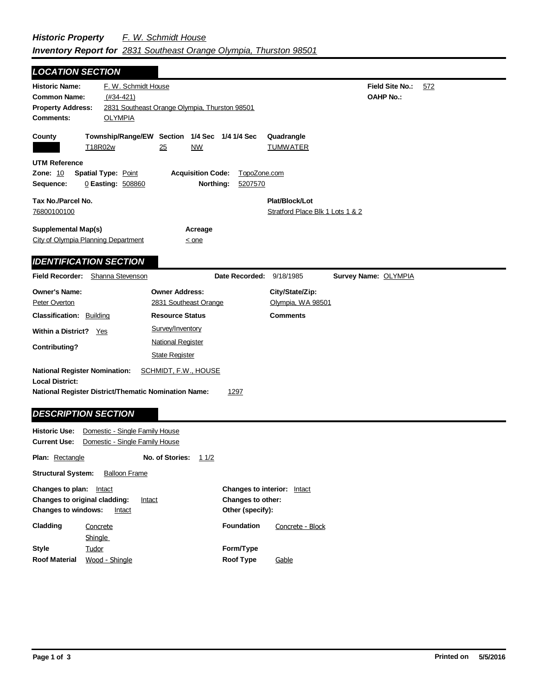| <b>LOCATION SECTION</b>                                                                                                                                                     |                                                      |                                                                          |                |                                                         |                                            |     |  |  |
|-----------------------------------------------------------------------------------------------------------------------------------------------------------------------------|------------------------------------------------------|--------------------------------------------------------------------------|----------------|---------------------------------------------------------|--------------------------------------------|-----|--|--|
| <b>Historic Name:</b><br><b>Common Name:</b><br><b>Property Address:</b><br>Comments:                                                                                       | F. W. Schmidt House<br>$(#34-421)$<br><b>OLYMPIA</b> | 2831 Southeast Orange Olympia, Thurston 98501                            |                |                                                         | <b>Field Site No.:</b><br><b>OAHP No.:</b> | 572 |  |  |
| County<br>T18R02w                                                                                                                                                           |                                                      | Township/Range/EW Section 1/4 Sec 1/4 1/4 Sec<br>25<br><b>NW</b>         |                | Quadrangle<br><b>TUMWATER</b>                           |                                            |     |  |  |
| <b>UTM Reference</b><br><b>Zone: 10</b><br><b>Spatial Type: Point</b><br><b>Acquisition Code:</b><br>TopoZone.com<br>0 Easting: 508860<br>Northing:<br>5207570<br>Sequence: |                                                      |                                                                          |                |                                                         |                                            |     |  |  |
| Tax No./Parcel No.<br>76800100100                                                                                                                                           |                                                      |                                                                          |                | Plat/Block/Lot<br>Stratford Place Blk 1 Lots 1 & 2      |                                            |     |  |  |
| <b>Supplemental Map(s)</b><br>City of Olympia Planning Department<br><b>IDENTIFICATION SECTION</b>                                                                          |                                                      | Acreage<br>< one                                                         |                |                                                         |                                            |     |  |  |
| <b>Field Recorder:</b>                                                                                                                                                      | Shanna Stevenson                                     |                                                                          | Date Recorded: | 9/18/1985                                               | Survey Name: OLYMPIA                       |     |  |  |
| <b>Owner's Name:</b><br>Peter Overton<br><b>Classification: Building</b>                                                                                                    |                                                      | <b>Owner Address:</b><br>2831 Southeast Orange<br><b>Resource Status</b> |                | City/State/Zip:<br>Olympia, WA 98501<br><b>Comments</b> |                                            |     |  |  |
| <b>Within a District?</b><br><b>Contributing?</b>                                                                                                                           | Yes                                                  | Survey/Inventory<br><b>National Register</b>                             |                |                                                         |                                            |     |  |  |
| <b>National Register Nomination:</b><br><b>Local District:</b><br><b>National Register District/Thematic Nomination Name:</b>                                               |                                                      | <b>State Register</b><br>SCHMIDT, F.W., HOUSE                            | 1297           |                                                         |                                            |     |  |  |

## *DESCRIPTION SECTION*

| <b>Historic Use:</b><br>Domestic - Single Family House                                                               |                                |                 |                                                                                |                   |                  |  |  |  |
|----------------------------------------------------------------------------------------------------------------------|--------------------------------|-----------------|--------------------------------------------------------------------------------|-------------------|------------------|--|--|--|
| <b>Current Use:</b>                                                                                                  | Domestic - Single Family House |                 |                                                                                |                   |                  |  |  |  |
| <b>Plan: Rectangle</b>                                                                                               |                                | No. of Stories: | 11/2                                                                           |                   |                  |  |  |  |
| <b>Structural System:</b><br><b>Balloon Frame</b>                                                                    |                                |                 |                                                                                |                   |                  |  |  |  |
| Changes to plan:<br>Intact<br><b>Changes to original cladding:</b><br>Intact<br><b>Changes to windows:</b><br>Intact |                                |                 | <b>Changes to interior:</b><br>Intact<br>Changes to other:<br>Other (specify): |                   |                  |  |  |  |
| Cladding                                                                                                             | Concrete                       |                 |                                                                                | <b>Foundation</b> | Concrete - Block |  |  |  |
|                                                                                                                      | Shingle                        |                 |                                                                                |                   |                  |  |  |  |
| <b>Style</b>                                                                                                         | Tudor                          |                 |                                                                                | Form/Type         |                  |  |  |  |
| <b>Roof Material</b>                                                                                                 | Wood - Shingle                 |                 |                                                                                | <b>Roof Type</b>  | Gable            |  |  |  |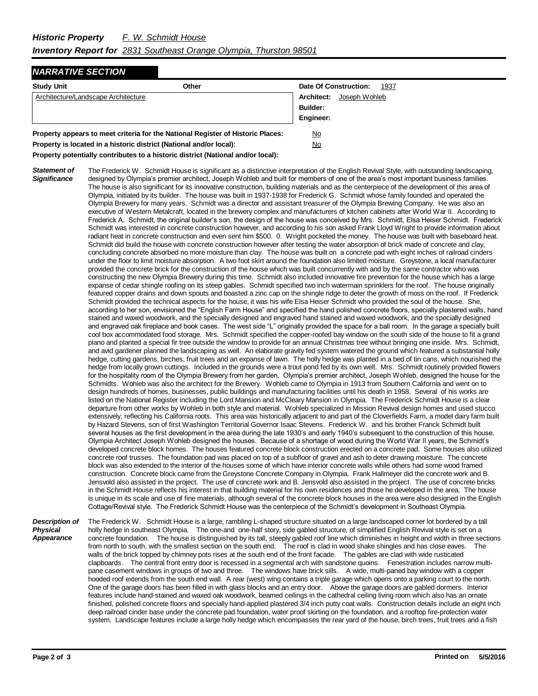## *NARRATIVE SECTION*

| <b>Study Unit</b>                                                               | Other |                 | Date Of Construction:    | 1937 |
|---------------------------------------------------------------------------------|-------|-----------------|--------------------------|------|
| Architecture/Landscape Architecture                                             |       |                 | Architect: Joseph Wohleb |      |
|                                                                                 |       | <b>Builder:</b> |                          |      |
|                                                                                 |       | Engineer:       |                          |      |
| Property appears to meet criteria for the National Register of Historic Places: | No    |                 |                          |      |

**Property is located in a historic district (National and/or local):** No

**Property potentially contributes to a historic district (National and/or local):**

*Statement of Significance* The Frederick W. Schmidt House is significant as a distinctive interpretation of the English Revival Style, with outstanding landscaping, designed by Olympia's premier architect, Joseph Wohleb and built for members of one of the area's most important business families. The house is also significant for its innovative construction, building materials and as the centerpiece of the development of this area of Olympia, initiated by its builder. The house was built in 1937-1938 for Frederick G. Schmidt whose family founded and operated the Olympia Brewery for many years. Schmidt was a director and assistant treasurer of the Olympia Brewing Company. He was also an executive of Western Metalcraft, located in the brewery complex and manufacturers of kitchen cabinets after World War II. According to Frederick A. Schmidt, the original builder's son, the design of the house was conceived by Mrs. Schmidt, Elsa Heiser Schmidt. Frederick Schmidt was interested in concrete construction however, and according to his son asked Frank Lloyd Wright to provide information about radiant heat in concrete construction and even sent him \$500. 0. Wright pocketed the money. The house was built with baseboard heat. Schmidt did build the house with concrete construction however after testing the water absorption of brick made of concrete and clay, concluding concrete absorbed no more moisture than clay. The house was built on a concrete pad with eight inches of railroad cinders under the floor to limit moisture absorption. A two foot skirt around the foundation also limited moisture. Greystone, a local manufacturer provided the concrete brick for the construction of the house which was built concurrently with and by the same contractor who was constructing the new Olympia Brewery during this time. Schmidt also included innovative fire prevention for the house which has a large expanse of cedar shingle roofing on its steep gables. Schmidt specified two inch watermain sprinklers for the roof. The house originally featured copper drains and down spouts and boasted a zinc cap on the shingle ridge to deter the growth of moss on the roof. If Frederick Schmidt provided the technical aspects for the house, it was his wife Elsa Heiser Schmidt who provided the soul of the house. She, according to her son, envisioned the "English Farm House" and specified the hand polished concrete floors, specially plastered walls, hand stained and waxed woodwork, and the specially designed and engraved hand stained and waxed woodwork, and the specially designed and engraved oak fireplace and book cases. The west side "L" originally provided the space for a ball room. In the garage a specially built cool box accommodated food storage. Mrs. Schmidt specified the copper-roofed bay window on the south side of the house to fit a grand piano and planted a special fir tree outside the window to provide for an annual Christmas tree without bringing one inside. Mrs. Schmidt, and avid gardener planned the landscaping as well. An elaborate gravity fed system watered the ground which featured a substantial holly hedge, cutting gardens, birches, fruit trees and an expanse of lawn. The holly hedge was planted in a bed of tin cans, which nourished the hedge from locally grown cuttings. Included in the grounds were a trout pond fed by its own well. Mrs. Schmidt routinely provided flowers for the hospitality room of the Olympia Brewery from her garden. Olympia's premier architect, Joseph Wohleb, designed the house for the Schmidts. Wohleb was also the architect for the Brewery. Wohleb came to Olympia in 1913 from Southern California and went on to design hundreds of homes, businesses, public buildings and manufacturing facilities until his death in 1958. Several of his works are listed on the National Register including the Lord Mansion and McCleary Mansion in Olympia. The Frederick Schmidt House is a clear departure from other works by Wohleb in both style and material. Wohleb specialized in Mission Revival design homes and used stucco extensively, reflecting his California roots. This area was historically adjacent to and part of the Cloverfields Farm, a model dairy farm built by Hazard Stevens, son of first Washington Territorial Governor Isaac Stevens. Frederick W. and his brother Franck Schmidt built several houses as the first development in the area during the late 1930's and early 1940's subsequent to the construction of this house. Olympia Architect Joseph Wohleb designed the houses. Because of a shortage of wood during the World War II years, the Schmidt's developed concrete block homes. The houses featured concrete block construction erected on a concrete pad. Some houses also utilized concrete roof trusses. The foundation pad was placed on top of a subfloor of gravel and ash to deter drawing moisture. The concrete block was also extended to the interior of the houses some of which have interior concrete walls while others had some wood framed construction. Concrete block came from the Greystone Concrete Company in Olympia. Frank Hallmeyer did the concrete work and B. Jensvold also assisted in the project. The use of concrete work and B. Jensvold also assisted in the project. The use of concrete bricks in the Schmidt House reflects his interest in that building material for his own residences and those he developed in the area. The house is unique in its scale and use of fine materials, although several of the concrete block houses in the area were also designed in the English Cottage/Revival style. The Frederick Schmidt House was the centerpiece of the Schmidt's development in Southeast Olympia.

*Description of Physical Appearance* The Frederick W. Schmidt House is a large, rambling L-shaped structure situated on a large landscaped corner lot bordered by a tall holly hedge in southeast Olympia. The one-and one-half story, side gabled structure, of simplified English Revival style is set on a concrete foundation. The house is distinguished by its tall, steeply gabled roof line which diminishes in height and width in three sections from north to south, with the smallest section on the south end. The roof is clad in wood shake shingles and has close eaves. The walls of the brick topped by chimney pots rises at the south end of the front facade. The gables are clad with wide rusticated clapboards. The central front entry door is recessed in a segmental arch with sandstone quoins. Fenestration includes narrow multipane casement windows in groups of two and three. The windows have brick sills. A wide, multi-paned bay window with a copper hooded roof extends from the south end wall. A rear (west) wing contains a triple garage which opens onto a parking court to the north. One of the garage doors has been filled in with glass blocks and an entry door. Above the garage doors are gabled dormers. Interior features include hand-stained and waxed oak woodwork, beamed ceilings in the cathedral ceiling living room which also has an ornate finished, polished concrete floors and specially hand-applied plastered 3/4 inch putty coat walls. Construction details include an eight inch deep railroad cinder base under the concrete pad foundation, water proof skirting on the foundation, and a rooftop fire-protection water system. Landscape features include a large holly hedge which encompasses the rear yard of the house, birch trees, fruit trees and a fish